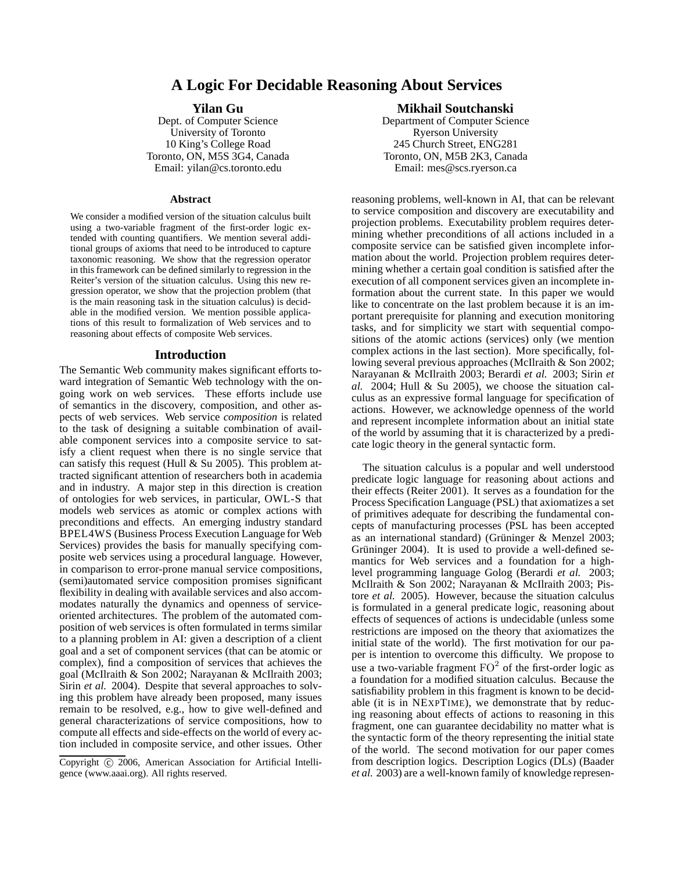# **A Logic For Decidable Reasoning About Services**

#### **Yilan Gu**

Dept. of Computer Science University of Toronto 10 King's College Road Toronto, ON, M5S 3G4, Canada Email: yilan@cs.toronto.edu

#### **Abstract**

We consider a modified version of the situation calculus built using a two-variable fragment of the first-order logic extended with counting quantifiers. We mention several additional groups of axioms that need to be introduced to capture taxonomic reasoning. We show that the regression operator in this framework can be defined similarly to regression in the Reiter's version of the situation calculus. Using this new regression operator, we show that the projection problem (that is the main reasoning task in the situation calculus) is decidable in the modified version. We mention possible applications of this result to formalization of Web services and to reasoning about effects of composite Web services.

#### **Introduction**

The Semantic Web community makes significant efforts toward integration of Semantic Web technology with the ongoing work on web services. These efforts include use of semantics in the discovery, composition, and other aspects of web services. Web service *composition* is related to the task of designing a suitable combination of available component services into a composite service to satisfy a client request when there is no single service that can satisfy this request (Hull & Su 2005). This problem attracted significant attention of researchers both in academia and in industry. A major step in this direction is creation of ontologies for web services, in particular, OWL-S that models web services as atomic or complex actions with preconditions and effects. An emerging industry standard BPEL4WS (Business Process Execution Language for Web Services) provides the basis for manually specifying composite web services using a procedural language. However, in comparison to error-prone manual service compositions, (semi)automated service composition promises significant flexibility in dealing with available services and also accommodates naturally the dynamics and openness of serviceoriented architectures. The problem of the automated composition of web services is often formulated in terms similar to a planning problem in AI: given a description of a client goal and a set of component services (that can be atomic or complex), find a composition of services that achieves the goal (McIlraith & Son 2002; Narayanan & McIlraith 2003; Sirin *et al.* 2004). Despite that several approaches to solving this problem have already been proposed, many issues remain to be resolved, e.g., how to give well-defined and general characterizations of service compositions, how to compute all effects and side-effects on the world of every action included in composite service, and other issues. Other

#### **Mikhail Soutchanski**

Department of Computer Science Ryerson University 245 Church Street, ENG281 Toronto, ON, M5B 2K3, Canada Email: mes@scs.ryerson.ca

reasoning problems, well-known in AI, that can be relevant to service composition and discovery are executability and projection problems. Executability problem requires determining whether preconditions of all actions included in a composite service can be satisfied given incomplete information about the world. Projection problem requires determining whether a certain goal condition is satisfied after the execution of all component services given an incomplete information about the current state. In this paper we would like to concentrate on the last problem because it is an important prerequisite for planning and execution monitoring tasks, and for simplicity we start with sequential compositions of the atomic actions (services) only (we mention complex actions in the last section). More specifically, following several previous approaches (McIlraith & Son 2002; Narayanan & McIlraith 2003; Berardi *et al.* 2003; Sirin *et al.* 2004; Hull & Su 2005), we choose the situation calculus as an expressive formal language for specification of actions. However, we acknowledge openness of the world and represent incomplete information about an initial state of the world by assuming that it is characterized by a predicate logic theory in the general syntactic form.

The situation calculus is a popular and well understood predicate logic language for reasoning about actions and their effects (Reiter 2001). It serves as a foundation for the Process Specification Language (PSL) that axiomatizes a set of primitives adequate for describing the fundamental concepts of manufacturing processes (PSL has been accepted as an international standard) (Grüninger & Menzel 2003; Grüninger 2004). It is used to provide a well-defined semantics for Web services and a foundation for a highlevel programming language Golog (Berardi *et al.* 2003; McIlraith & Son 2002; Narayanan & McIlraith 2003; Pistore *et al.* 2005). However, because the situation calculus is formulated in a general predicate logic, reasoning about effects of sequences of actions is undecidable (unless some restrictions are imposed on the theory that axiomatizes the initial state of the world). The first motivation for our paper is intention to overcome this difficulty. We propose to use a two-variable fragment  $FO^2$  of the first-order logic as a foundation for a modified situation calculus. Because the satisfiability problem in this fragment is known to be decidable (it is in NEXPTIME), we demonstrate that by reducing reasoning about effects of actions to reasoning in this fragment, one can guarantee decidability no matter what is the syntactic form of the theory representing the initial state of the world. The second motivation for our paper comes from description logics. Description Logics (DLs) (Baader *et al.* 2003) are a well-known family of knowledge represen-

Copyright © 2006, American Association for Artificial Intelligence (www.aaai.org). All rights reserved.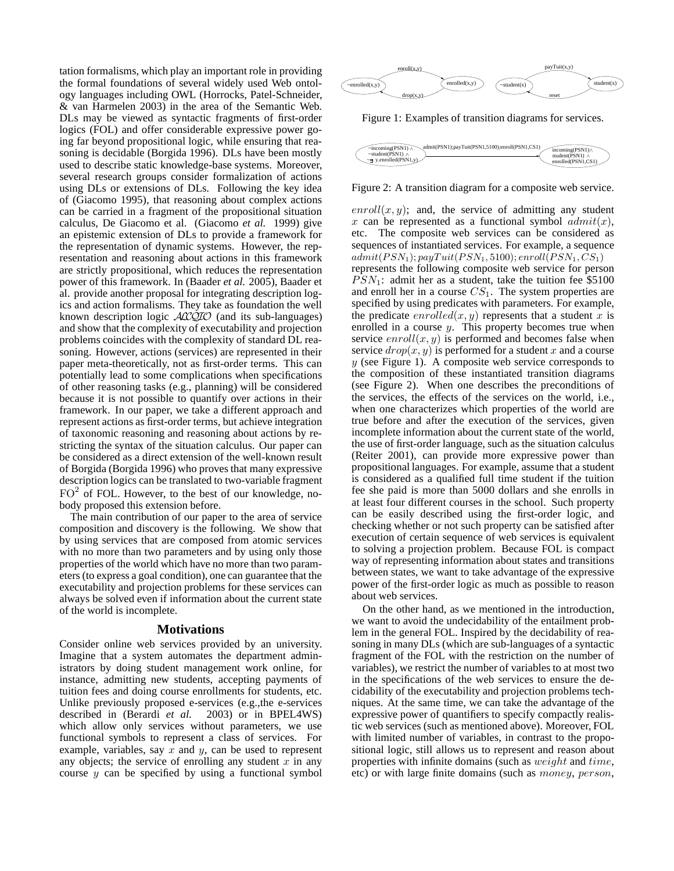tation formalisms, which play an important role in providing the formal foundations of several widely used Web ontology languages including OWL (Horrocks, Patel-Schneider, & van Harmelen 2003) in the area of the Semantic Web. DLs may be viewed as syntactic fragments of first-order logics (FOL) and offer considerable expressive power going far beyond propositional logic, while ensuring that reasoning is decidable (Borgida 1996). DLs have been mostly used to describe static knowledge-base systems. Moreover, several research groups consider formalization of actions using DLs or extensions of DLs. Following the key idea of (Giacomo 1995), that reasoning about complex actions can be carried in a fragment of the propositional situation calculus, De Giacomo et al. (Giacomo *et al.* 1999) give an epistemic extension of DLs to provide a framework for the representation of dynamic systems. However, the representation and reasoning about actions in this framework are strictly propositional, which reduces the representation power of this framework. In (Baader *et al.* 2005), Baader et al. provide another proposal for integrating description logics and action formalisms. They take as foundation the well known description logic  $\text{ALC OIO}$  (and its sub-languages) and show that the complexity of executability and projection problems coincides with the complexity of standard DL reasoning. However, actions (services) are represented in their paper meta-theoretically, not as first-order terms. This can potentially lead to some complications when specifications of other reasoning tasks (e.g., planning) will be considered because it is not possible to quantify over actions in their framework. In our paper, we take a different approach and represent actions as first-order terms, but achieve integration of taxonomic reasoning and reasoning about actions by restricting the syntax of the situation calculus. Our paper can be considered as a direct extension of the well-known result of Borgida (Borgida 1996) who proves that many expressive description logics can be translated to two-variable fragment  $FO<sup>2</sup>$  of FOL. However, to the best of our knowledge, nobody proposed this extension before.

The main contribution of our paper to the area of service composition and discovery is the following. We show that by using services that are composed from atomic services with no more than two parameters and by using only those properties of the world which have no more than two parameters (to express a goal condition), one can guarantee that the executability and projection problems for these services can always be solved even if information about the current state of the world is incomplete.

#### **Motivations**

Consider online web services provided by an university. Imagine that a system automates the department administrators by doing student management work online, for instance, admitting new students, accepting payments of tuition fees and doing course enrollments for students, etc. Unlike previously proposed e-services (e.g.,the e-services described in (Berardi *et al.* 2003) or in BPEL4WS) which allow only services without parameters, we use functional symbols to represent a class of services. For example, variables, say  $\overline{x}$  and  $y$ , can be used to represent any objects; the service of enrolling any student  $x$  in any course  $y$  can be specified by using a functional symbol



Figure 1: Examples of transition diagrams for services.



Figure 2: A transition diagram for a composite web service.

 $enroll(x, y)$ ; and, the service of admitting any student x can be represented as a functional symbol  $admit(x)$ , etc. The composite web services can be considered as sequences of instantiated services. For example, a sequence  $admit(PSN<sub>1</sub>); payTuit(PSN<sub>1</sub>, 5100); enroll(PSN<sub>1</sub>, CS<sub>1</sub>)$ 

represents the following composite web service for person  $\overline{PSN_1}$ : admit her as a student, take the tuition fee \$5100 and enroll her in a course  $CS<sub>1</sub>$ . The system properties are specified by using predicates with parameters. For example, the predicate  $enrolled(x, y)$  represents that a student x is enrolled in a course y. This property becomes true when service  $enroll(x, y)$  is performed and becomes false when service  $drop(x, y)$  is performed for a student x and a course  $y$  (see Figure 1). A composite web service corresponds to the composition of these instantiated transition diagrams (see Figure 2). When one describes the preconditions of the services, the effects of the services on the world, i.e., when one characterizes which properties of the world are true before and after the execution of the services, given incomplete information about the current state of the world, the use of first-order language, such as the situation calculus (Reiter 2001), can provide more expressive power than propositional languages. For example, assume that a student is considered as a qualified full time student if the tuition fee she paid is more than 5000 dollars and she enrolls in at least four different courses in the school. Such property can be easily described using the first-order logic, and checking whether or not such property can be satisfied after execution of certain sequence of web services is equivalent to solving a projection problem. Because FOL is compact way of representing information about states and transitions between states, we want to take advantage of the expressive power of the first-order logic as much as possible to reason about web services.

On the other hand, as we mentioned in the introduction, we want to avoid the undecidability of the entailment problem in the general FOL. Inspired by the decidability of reasoning in many DLs (which are sub-languages of a syntactic fragment of the FOL with the restriction on the number of variables), we restrict the number of variables to at most two in the specifications of the web services to ensure the decidability of the executability and projection problems techniques. At the same time, we can take the advantage of the expressive power of quantifiers to specify compactly realistic web services (such as mentioned above). Moreover, FOL with limited number of variables, in contrast to the propositional logic, still allows us to represent and reason about properties with infinite domains (such as weight and time, etc) or with large finite domains (such as money, person,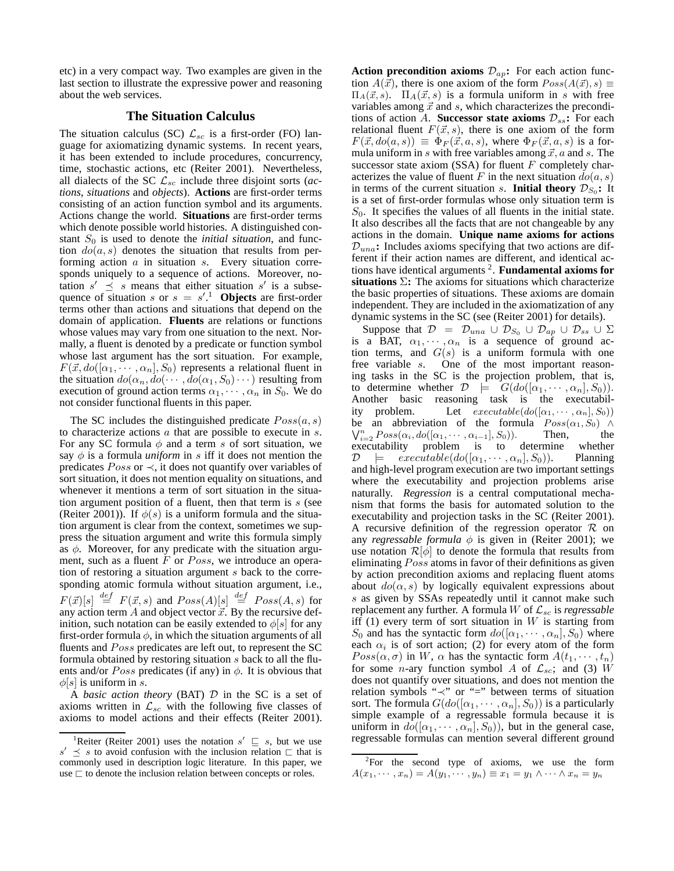etc) in a very compact way. Two examples are given in the last section to illustrate the expressive power and reasoning about the web services.

## **The Situation Calculus**

The situation calculus (SC)  $\mathcal{L}_{sc}$  is a first-order (FO) language for axiomatizing dynamic systems. In recent years, it has been extended to include procedures, concurrency, time, stochastic actions, etc (Reiter 2001). Nevertheless, all dialects of the SC  $\mathcal{L}_{sc}$  include three disjoint sorts (*actions*, *situations* and *objects*). **Actions** are first-order terms consisting of an action function symbol and its arguments. Actions change the world. **Situations** are first-order terms which denote possible world histories. A distinguished constant  $S_0$  is used to denote the *initial situation*, and function  $do(a, s)$  denotes the situation that results from performing action  $a$  in situation  $s$ . Every situation corresponds uniquely to a sequence of actions. Moreover, notation  $s' \preceq s$  means that either situation  $s'$  is a subsequence of situation s or  $s = s'^{1}$  **Objects** are first-order terms other than actions and situations that depend on the domain of application. **Fluents** are relations or functions whose values may vary from one situation to the next. Normally, a fluent is denoted by a predicate or function symbol whose last argument has the sort situation. For example,  $F(\vec{x}, do([\alpha_1, \cdots, \alpha_n], S_0)$  represents a relational fluent in the situation  $do(\alpha_n, do(\cdots, do(\alpha_1, S_0) \cdots)$  resulting from execution of ground action terms  $\alpha_1, \dots, \alpha_n$  in  $S_0$ . We do not consider functional fluents in this paper.

The SC includes the distinguished predicate  $Poss(a, s)$ to characterize actions a that are possible to execute in s. For any SC formula  $\phi$  and a term s of sort situation, we say  $\phi$  is a formula *uniform* in s iff it does not mention the predicates  $Poss$  or  $\prec$ , it does not quantify over variables of sort situation, it does not mention equality on situations, and whenever it mentions a term of sort situation in the situation argument position of a fluent, then that term is  $s$  (see (Reiter 2001)). If  $\phi(s)$  is a uniform formula and the situation argument is clear from the context, sometimes we suppress the situation argument and write this formula simply as  $\phi$ . Moreover, for any predicate with the situation argument, such as a fluent  $F$  or  $Poss$ , we introduce an operation of restoring a situation argument s back to the corresponding atomic formula without situation argument, i.e.,  $F(\vec{x})[s] \stackrel{def}{=} F(\vec{x},s)$  and  $Poss(A)[s] \stackrel{def}{=} Poss(A,s)$  for any action term  $\ddot{A}$  and object vector  $\vec{x}$ . By the recursive definition, such notation can be easily extended to  $\phi[s]$  for any first-order formula  $\phi$ , in which the situation arguments of all fluents and Poss predicates are left out, to represent the SC formula obtained by restoring situation s back to all the fluents and/or  $Poss$  predicates (if any) in  $\phi$ . It is obvious that  $\phi[s]$  is uniform in s.

A *basic action theory* (BAT) D in the SC is a set of axioms written in  $\mathcal{L}_{sc}$  with the following five classes of axioms to model actions and their effects (Reiter 2001).

**Action precondition axioms**  $\mathcal{D}_{ap}$ **:** For each action function  $A(\vec{x})$ , there is one axiom of the form  $Poss(A(\vec{x}), s) \equiv$  $\Pi_A(\vec{x}, s)$ .  $\Pi_A(\vec{x}, s)$  is a formula uniform in s with free variables among  $\vec{x}$  and s, which characterizes the preconditions of action A. **Successor state axioms**  $\mathcal{D}_{ss}$ : For each relational fluent  $F(\vec{x}, s)$ , there is one axiom of the form  $F(\vec{x}, do(a, s)) \equiv \Phi_F(\vec{x}, a, s)$ , where  $\Phi_F(\vec{x}, a, s)$  is a formula uniform in s with free variables among  $\vec{x}$ , a and s. The successor state axiom  $(SSA)$  for fluent F completely characterizes the value of fluent F in the next situation  $do(a, s)$ in terms of the current situation s. **Initial theory**  $\mathcal{D}_{S_0}$ : It is a set of first-order formulas whose only situation term is  $S<sub>0</sub>$ . It specifies the values of all fluents in the initial state. It also describes all the facts that are not changeable by any actions in the domain. **Unique name axioms for actions**  $\mathcal{D}_{una}$ : Includes axioms specifying that two actions are different if their action names are different, and identical actions have identical arguments <sup>2</sup> . **Fundamental axioms for situations** Σ**:** The axioms for situations which characterize the basic properties of situations. These axioms are domain independent. They are included in the axiomatization of any dynamic systems in the SC (see (Reiter 2001) for details).

Suppose that  $\mathcal{D} = \mathcal{D}_{una} \cup \mathcal{D}_{S_0} \cup \mathcal{D}_{ap} \cup \mathcal{D}_{ss} \cup \Sigma$ is a BAT,  $\alpha_1, \cdots, \alpha_n$  is a sequence of ground action terms, and  $G(s)$  is a uniform formula with one free variable s. One of the most important reasoning tasks in the SC is the projection problem, that is, to determine whether  $\mathcal{D} \models G(do([\alpha_1, \cdots, \alpha_n], S_0)).$ Another basic reasoning task is the executability problem. Let  $execute(do([α<sub>1</sub>, · · · , α<sub>n</sub>], S<sub>0</sub>))$ be an abbreviation of the formula  $Poss(\alpha_1, S_0) \wedge$  $\bigvee_{i=2}^{n} Poss(\alpha_i, do([\alpha_1, \cdots, \alpha_{i-1}], S_0)).$  Then, the executability problem is to determine whether  $\mathcal{D} \models \text{execute}(do([\alpha_1, \cdots, \alpha_n], S_0)).$  Planning and high-level program execution are two important settings where the executability and projection problems arise naturally. *Regression* is a central computational mechanism that forms the basis for automated solution to the executability and projection tasks in the SC (Reiter 2001). A recursive definition of the regression operator  $\mathcal R$  on any *regressable formula*  $\phi$  is given in (Reiter 2001); we use notation  $\mathcal{R}[\phi]$  to denote the formula that results from eliminating Poss atoms in favor of their definitions as given by action precondition axioms and replacing fluent atoms about  $do(\alpha, s)$  by logically equivalent expressions about s as given by SSAs repeatedly until it cannot make such replacement any further. A formula  $W$  of  $\mathcal{L}_{sc}$  is *regressable* iff (1) every term of sort situation in  $W$  is starting from  $S_0$  and has the syntactic form  $do([\alpha_1, \cdots, \alpha_n], S_0)$  where each  $\alpha_i$  is of sort action; (2) for every atom of the form  $Poss(\alpha, \sigma)$  in W,  $\alpha$  has the syntactic form  $A(t_1, \dots, t_n)$ for some *n*-ary function symbol A of  $\mathcal{L}_{sc}$ ; and (3) W does not quantify over situations, and does not mention the relation symbols "≺" or "=" between terms of situation sort. The formula  $G(do([\alpha_1, \cdots, \alpha_n], S_0))$  is a particularly simple example of a regressable formula because it is uniform in  $do([\alpha_1, \dots, \alpha_n], S_0)$ , but in the general case, regressable formulas can mention several different ground

<sup>&</sup>lt;sup>1</sup>Reiter (Reiter 2001) uses the notation  $s' \subseteq s$ , but we use  $s' \preceq s$  to avoid confusion with the inclusion relation  $\sqsubset$  that is commonly used in description logic literature. In this paper, we use  $\sqsubset$  to denote the inclusion relation between concepts or roles.

 ${}^{2}$ For the second type of axioms, we use the form  $A(x_1, \dots, x_n) = A(y_1, \dots, y_n) \equiv x_1 = y_1 \wedge \dots \wedge x_n = y_n$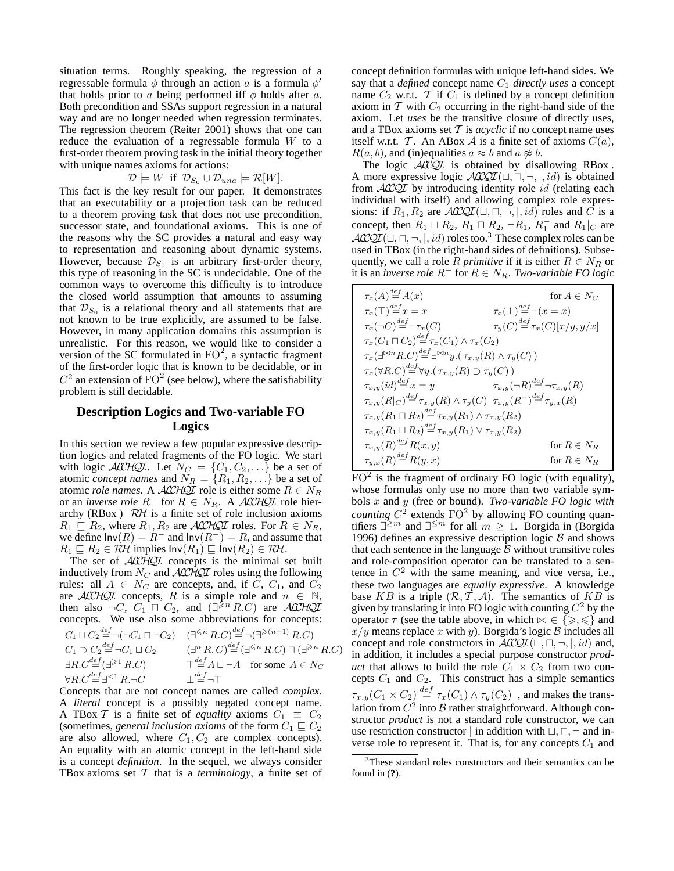situation terms. Roughly speaking, the regression of a regressable formula  $\phi$  through an action a is a formula  $\phi'$ that holds prior to a being performed iff  $\phi$  holds after a. Both precondition and SSAs support regression in a natural way and are no longer needed when regression terminates. The regression theorem (Reiter 2001) shows that one can reduce the evaluation of a regressable formula W to a first-order theorem proving task in the initial theory together with unique names axioms for actions:

$$
\mathcal{D}\models W \text{ if } \mathcal{D}_{S_0}\cup \mathcal{D}_{una}\models \mathcal{R}[W].
$$

This fact is the key result for our paper. It demonstrates that an executability or a projection task can be reduced to a theorem proving task that does not use precondition, successor state, and foundational axioms. This is one of the reasons why the SC provides a natural and easy way to representation and reasoning about dynamic systems. However, because  $\mathcal{D}_{S_0}$  is an arbitrary first-order theory, this type of reasoning in the SC is undecidable. One of the common ways to overcome this difficulty is to introduce the closed world assumption that amounts to assuming that  $\mathcal{D}_{S_0}$  is a relational theory and all statements that are not known to be true explicitly, are assumed to be false. However, in many application domains this assumption is unrealistic. For this reason, we would like to consider a version of the SC formulated in  $FO^2$ , a syntactic fragment of the first-order logic that is known to be decidable, or in  $C^2$  an extension of  $FO^2$  (see below), where the satisfiability problem is still decidable.

## **Description Logics and Two-variable FO Logics**

In this section we review a few popular expressive description logics and related fragments of the FO logic. We start with logic  $\mathcal{ALCHQI}$ . Let  $N_C = \{C_1, C_2, \ldots\}$  be a set of atomic *concept names* and  $N_R = \{R_1, R_2, \ldots\}$  be a set of atomic *role names*. A ALCHQI role is either some  $R \in N_R$ or an *inverse role*  $R^-$  for  $R \in N_R$ . A ALCHQI role hierarchy (RBox)  $RH$  is a finite set of role inclusion axioms  $R_1 \subseteq R_2$ , where  $R_1, R_2$  are *ACCHQI* roles. For  $R \in N_R$ , we define  $Inv(R) = R^{-}$  and  $Inv(R^{-}) = R$ , and assume that  $R_1 \sqsubseteq R_2 \in \overrightarrow{\mathcal{RH}}$  implies  $\mathsf{Inv}(R_1) \sqsubseteq \mathsf{Inv}(R_2) \in \mathcal{RH}.$ 

The set of  $ACHQI$  concepts is the minimal set built inductively from  $N_C$  and  $\mathcal{ALCHQI}$  roles using the following rules: all  $A \in N_C$  are concepts, and, if C, C<sub>1</sub>, and C<sub>2</sub> are ALCHQI concepts, R is a simple role and  $n \in \mathbb{N}$ , then also  $\neg C$ ,  $C_1 \cap C_2$ , and  $(\exists^{\geq n} R.C)$  are ALCHQI concepts. We use also some abbreviations for concepts: def def

$$
C_1 \sqcup C_2 \stackrel{def}{=} \neg(\neg C_1 \sqcap \neg C_2) \quad (\exists^{\leq n} R.C)^{\stackrel{def}{=} \neg}(\exists^{\geq (n+1)} R.C)
$$
  
\n
$$
C_1 \supset C_2 \stackrel{def}{=} \neg C_1 \sqcup C_2 \qquad (\exists^n R.C)^{\stackrel{def}{=} \neg}(\exists^{\geq n} R.C) \sqcap (\exists^{\geq n} R.C)
$$
  
\n
$$
\exists R.C \stackrel{def}{=} (\exists^{\geq 1} R.C) \qquad \top \stackrel{def}{=} A \sqcup \neg A \text{ for some } A \in N_C
$$
  
\n
$$
\forall R.C \stackrel{def}{=} \exists^{<1} R.\neg C \qquad \bot \stackrel{def}{=} \neg T
$$

Concepts that are not concept names are called *complex*. A *literal* concept is a possibly negated concept name. A TBox T is a finite set of *equality* axioms  $C_1 \equiv C_2$ (sometimes, *general inclusion axioms* of the form  $C_1 \sqsubseteq C_2$ are also allowed, where  $C_1, C_2$  are complex concepts). An equality with an atomic concept in the left-hand side is a concept *definition*. In the sequel, we always consider TBox axioms set  $T$  that is a *terminology*, a finite set of concept definition formulas with unique left-hand sides. We say that a *defined* concept name  $C_1$  *directly uses* a concept name  $C_2$  w.r.t. T if  $C_1$  is defined by a concept definition axiom in  $\mathcal T$  with  $C_2$  occurring in the right-hand side of the axiom. Let *uses* be the transitive closure of directly uses, and a TBox axioms set  $T$  is *acyclic* if no concept name uses itself w.r.t. T. An ABox A is a finite set of axioms  $C(a)$ ,  $R(a, b)$ , and (in)equalities  $a \approx b$  and  $a \not\approx b$ .

The logic  $\mathcal{A}\mathcal{C}\mathcal{Q}\mathcal{I}$  is obtained by disallowing RBox. A more expressive logic  $\mathcal{ACQI}(\sqcup, \sqcap, \neg, |, id)$  is obtained from  $\mathcal{ALCQI}$  by introducing identity role *id* (relating each individual with itself) and allowing complex role expressions: if  $R_1, R_2$  are  $\mathcal{ALQI}(\sqcup, \sqcap, \neg, |, id)$  roles and C is a concept, then  $R_1 \sqcup R_2$ ,  $R_1 \sqcap R_2$ ,  $\neg R_1$ ,  $R_1^-$  and  $R_1|_C$  are  $\mathcal{AICQI}(\sqcup, \sqcap, \neg, |, id)$  roles too.<sup>3</sup> These complex roles can be used in TBox (in the right-hand sides of definitions). Subsequently, we call a role R *primitive* if it is either  $R \in N_R$  or it is an *inverse role*  $R<sup>−</sup>$  for  $R ∈ N<sub>R</sub>$ . *Two-variable FO logic* 

| $\tau_x(A) \stackrel{def}{=} A(x)$                                                                                  | for $A \in N_C$                                           |
|---------------------------------------------------------------------------------------------------------------------|-----------------------------------------------------------|
| $\tau_x(\top)^{\text{def}}=x=x$                                                                                     | $\tau_x(\perp) \stackrel{def}{=} \neg(x=x)$               |
| $\tau_x(\neg C) \stackrel{def}{=} \neg \tau_x(C)$                                                                   | $\tau_u(C) \stackrel{def}{=} \tau_x(C)[x/y, y/x]$         |
| $\tau_x(C_1 \sqcap C_2) \stackrel{def}{=} \tau_x(C_1) \wedge \tau_x(C_2)$                                           |                                                           |
| $\tau_x(\exists^{\bowtie n} R.C) \stackrel{def}{=} \exists^{\bowtie n} y. (\tau_{x,y}(R) \wedge \tau_y(C))$         |                                                           |
| $\tau_x(\forall R.C) \stackrel{def}{=} \forall y. (\tau_{x,y}(R) \supset \tau_y(C))$                                |                                                           |
| $\tau_{x,y}(id) \stackrel{def}{=} x = y$                                                                            | $\tau_{x,y}(\neg R) \stackrel{def}{=} \neg \tau_{x,y}(R)$ |
| $\tau_{x,y}(R _C) \stackrel{def}{=} \tau_{x,y}(R) \wedge \tau_y(C) \tau_{x,y}(R^-) \stackrel{def}{=} \tau_{y,x}(R)$ |                                                           |
| $\tau_{x,y}(R_1 \sqcap R_2) \stackrel{def}{=} \tau_{x,y}(R_1) \wedge \tau_{x,y}(R_2)$                               |                                                           |
| $\tau_{x,y}(R_1 \sqcup R_2) \stackrel{def}{=} \tau_{x,y}(R_1) \vee \tau_{x,y}(R_2)$                                 |                                                           |
| $\tau_{x,y}(R) \stackrel{def}{=} R(x,y)$                                                                            | for $R \in N_B$                                           |
| $\tau_{y,x}(R) \stackrel{def}{=} R(y,x)$                                                                            | for $R \in N_R$                                           |

 $FO<sup>2</sup>$  is the fragment of ordinary FO logic (with equality), whose formulas only use no more than two variable symbols x and y (free or bound). *Two-variable FO logic with counting*  $C^2$  extends  $FO^2$  by allowing FO counting quantifiers  $\exists^{\geq m}$  and  $\exists^{\leq m}$  for all  $m \geq 1$ . Borgida in (Borgida 1996) defines an expressive description logic  $B$  and shows that each sentence in the language  $B$  without transitive roles and role-composition operator can be translated to a sentence in  $C^2$  with the same meaning, and vice versa, i.e., these two languages are *equally expressive*. A knowledge base KB is a triple  $(\mathcal{R}, \mathcal{T}, \mathcal{A})$ . The semantics of KB is given by translating it into FO logic with counting  $C^2$  by the operator  $\tau$  (see the table above, in which  $\bowtie \in \{\geq, \leq\}$  and  $x/y$  means replace x with y). Borgida's logic B includes all concept and role constructors in  $\mathcal{ALQI}(\sqcup, \sqcap, \neg, \vdash, id)$  and, in addition, it includes a special purpose constructor *product* that allows to build the role  $C_1 \times C_2$  from two concepts  $C_1$  and  $C_2$ . This construct has a simple semantics  $\tau_{x,y}(C_1\times C_2)\stackrel{def}{=}\tau_x(C_1)\wedge \tau_y(C_2)\;$  , and makes the translation from  $C^2$  into  ${\mathcal{B}}$  rather straightforward. Although constructor *product* is not a standard role constructor, we can use restriction constructor | in addition with  $\Box$ ,  $\Box$ ,  $\Box$  and inverse role to represent it. That is, for any concepts  $C_1$  and

<sup>&</sup>lt;sup>3</sup>These standard roles constructors and their semantics can be found in (**?**).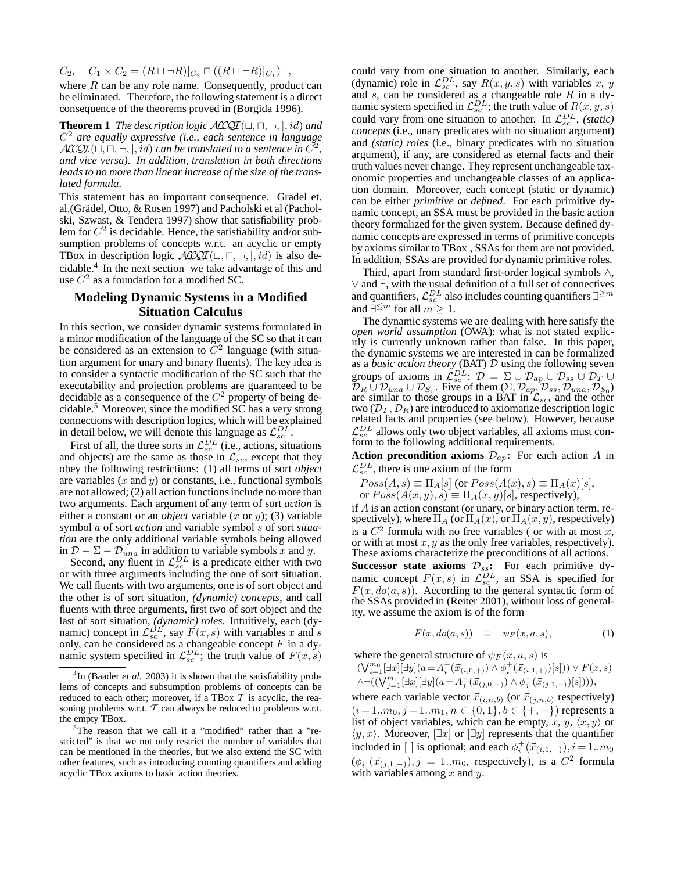$C_2, \quad C_1 \times C_2 = (R \sqcup \neg R)|_{C_2} \sqcap ((R \sqcup \neg R)|_{C_1})^-,$ 

where  $R$  can be any role name. Consequently, product can be eliminated. Therefore, the following statement is a direct consequence of the theorems proved in (Borgida 1996).

**Theorem 1** *The description logic* ALCQI(⊔, ⊓, ¬, |, id) *and* C <sup>2</sup> *are equally expressive (i.e., each sentence in language*  $\mathcal{A}\mathcal{CQI}(\sqcup, \sqcap, \neg, |, id)$  can be translated to a sentence in  $C^2$ , *and vice versa). In addition, translation in both directions leads to no more than linear increase of the size of the translated formula.*

This statement has an important consequence. Gradel et. al. (Grädel, Otto, & Rosen 1997) and Pacholski et al (Pacholski, Szwast, & Tendera 1997) show that satisfiability problem for  $C^2$  is decidable. Hence, the satisfiability and/or subsumption problems of concepts w.r.t. an acyclic or empty TBox in description logic  $\text{AICQI}(\sqcup, \sqcap, \neg, |, id)$  is also decidable.<sup>4</sup> In the next section we take advantage of this and use  $C^2$  as a foundation for a modified SC.

# **Modeling Dynamic Systems in a Modified Situation Calculus**

In this section, we consider dynamic systems formulated in a minor modification of the language of the SC so that it can be considered as an extension to  $\overline{C}^2$  language (with situation argument for unary and binary fluents). The key idea is to consider a syntactic modification of the SC such that the executability and projection problems are guaranteed to be decidable as a consequence of the  $C<sup>2</sup>$  property of being decidable.<sup>5</sup> Moreover, since the modified SC has a very strong connections with description logics, which will be explained in detail below, we will denote this language as  $\mathcal{L}_{sc}^{DL}$ .

First of all, the three sorts in  $\mathcal{L}_{sc}^{DL}$  (i.e., actions, situations and objects) are the same as those in  $\mathcal{L}_{sc}$ , except that they obey the following restrictions: (1) all terms of sort *object* are variables  $(x \text{ and } y)$  or constants, i.e., functional symbols are not allowed; (2) all action functions include no more than two arguments. Each argument of any term of sort *action* is either a constant or an *object* variable  $(x \text{ or } y)$ ; (3) variable symbol a of sort *action* and variable symbol s of sort *situation* are the only additional variable symbols being allowed in  $\mathcal{D} - \Sigma - \mathcal{D}_{una}$  in addition to variable symbols x and y.

Second, any fluent in  $\mathcal{L}_{sc}^{DL}$  is a predicate either with two or with three arguments including the one of sort situation. We call fluents with two arguments, one is of sort object and the other is of sort situation, *(dynamic) concepts*, and call fluents with three arguments, first two of sort object and the last of sort situation, *(dynamic) roles*. Intuitively, each (dynamic) concept in  $\mathcal{L}_{sc}^{DL}$ , say  $F(x, s)$  with variables x and s only, can be considered as a changeable concept  $F$  in a dynamic system specified in  $\mathcal{L}_{sc}^{DL}$ ; the truth value of  $F(x, s)$ 

could vary from one situation to another. Similarly, each (dynamic) role in  $\mathcal{L}_{sc}^{DL}$ , say  $R(x, y, s)$  with variables x, y and  $s$ , can be considered as a changeable role  $R$  in a dynamic system specified in  $\mathcal{L}_{sc}^{DL}$ ; the truth value of  $R(x, y, s)$ could vary from one situation to another. In  $\mathcal{L}_{sc}^{DL}$ , *(static) concepts* (i.e., unary predicates with no situation argument) and *(static) roles* (i.e., binary predicates with no situation argument), if any, are considered as eternal facts and their truth values never change. They represent unchangeable taxonomic properties and unchangeable classes of an application domain. Moreover, each concept (static or dynamic) can be either *primitive* or *defined*. For each primitive dynamic concept, an SSA must be provided in the basic action theory formalized for the given system. Because defined dynamic concepts are expressed in terms of primitive concepts by axioms similar to TBox , SSAs for them are not provided. In addition, SSAs are provided for dynamic primitive roles.

Third, apart from standard first-order logical symbols ∧, ∨ and ∃, with the usual definition of a full set of connectives and quantifiers,  $\mathcal{L}_{sc}^{DL}$  also includes counting quantifiers  $\exists^{\geq m}$ and  $\exists^{\leq m}$  for all  $m \geq 1$ .

The dynamic systems we are dealing with here satisfy the *open world assumption* (OWA): what is not stated explicitly is currently unknown rather than false. In this paper, the dynamic systems we are interested in can be formalized as a *basic action theory* (BAT) D using the following seven groups of axioms in  $\mathcal{L}_{sc}^{DL}$ :  $\mathcal{D} = \sum_{n} \cup \mathcal{D}_{ap} \cup \mathcal{D}_{ss} \cup \mathcal{D}_{T} \cup$  $\mathcal{D}_R \cup \mathcal{D}_{una} \cup \mathcal{D}_{S_0}$ . Five of them  $(\Sigma, \mathcal{D}_{ap}, \mathcal{D}_{ss}, \mathcal{D}_{una}, \mathcal{D}_{S_0})$ are similar to those groups in a BAT in  $\mathcal{L}_{sc}$ , and the other two  $(\mathcal{D}_T, \mathcal{D}_R)$  are introduced to axiomatize description logic related facts and properties (see below). However, because  $\mathcal{L}_{sc}^{DL}$  allows only two object variables, all axioms must conform to the following additional requirements.

**Action precondition axioms**  $\mathcal{D}_{ap}$ **:** For each action A in  $\mathcal{L}_{sc}^{DL}$ , there is one axiom of the form

 $Poss(A, s) \equiv \Pi_A[s]$  (or  $Poss(A(x), s) \equiv \Pi_A(x)[s]$ , or  $Poss(A(x, y), s) \equiv \Pi_A(x, y)[s]$ , respectively),

if  $A$  is an action constant (or unary, or binary action term, respectively), where  $\Pi_A$  (or  $\Pi_A(x)$ , or  $\Pi_A(x, y)$ , respectively) is a  $C^2$  formula with no free variables (or with at most x, or with at most  $x, y$  as the only free variables, respectively). These axioms characterize the preconditions of all actions.

**Successor state axioms**  $\mathcal{D}_{ss}$ **:** For each primitive dynamic concept  $F(x, s)$  in  $\mathcal{L}_{sc}^{DL}$ , an SSA is specified for  $F(x, do(a, s))$ . According to the general syntactic form of the SSAs provided in (Reiter 2001), without loss of generality, we assume the axiom is of the form

$$
F(x, do(a, s)) \equiv \psi_F(x, a, s), \tag{1}
$$

where the general structure of  $\psi_F(x, a, s)$  is

 $(\bigvee_{i=1}^{m_0} [\exists x] [\exists y] (a = A_i^+(\vec{x}_{(i,0,+)}) \wedge \phi_i^+(\vec{x}_{(i,1,+)})[s]) ) \vee F(x,s)$  $\wedge \neg((\bigvee_{j=1}^{m_1} [\exists x] [\exists y] (a = A_j^-(\vec{x}_{(j,0,-)}) \wedge \phi_j^-(\vec{x}_{(j,1,-)})[s]))),$ 

where each variable vector  $\vec{x}_{(i,n,b)}$  (or  $\vec{x}_{(j,n,b)}$  respectively)  $(i=1..m_0, j=1..m_1, n \in \{0,1\}, b \in \{+, -\})$  represents a list of object variables, which can be empty, x, y,  $\langle x, y \rangle$  or  $\langle y, x \rangle$ . Moreover,  $[\exists x]$  or  $[\exists y]$  represents that the quantifier included in [ ] is optional; and each  $\phi_i^+(\vec{x}_{(i,1,+)}), i = 1..m_0$  $(\phi_i^-(\vec{x}_{(j,1,-)}), j = 1..m_0$ , respectively), is a  $C^2$  formula with variables among  $x$  and  $y$ .

<sup>&</sup>lt;sup>4</sup>In (Baader *et al.* 2003) it is shown that the satisfiability problems of concepts and subsumption problems of concepts can be reduced to each other; moreover, if a TBox  $\mathcal T$  is acyclic, the reasoning problems w.r.t.  $T$  can always be reduced to problems w.r.t. the empty TBox.

<sup>&</sup>lt;sup>5</sup>The reason that we call it a "modified" rather than a "restricted" is that we not only restrict the number of variables that can be mentioned in the theories, but we also extend the SC with other features, such as introducing counting quantifiers and adding acyclic TBox axioms to basic action theories.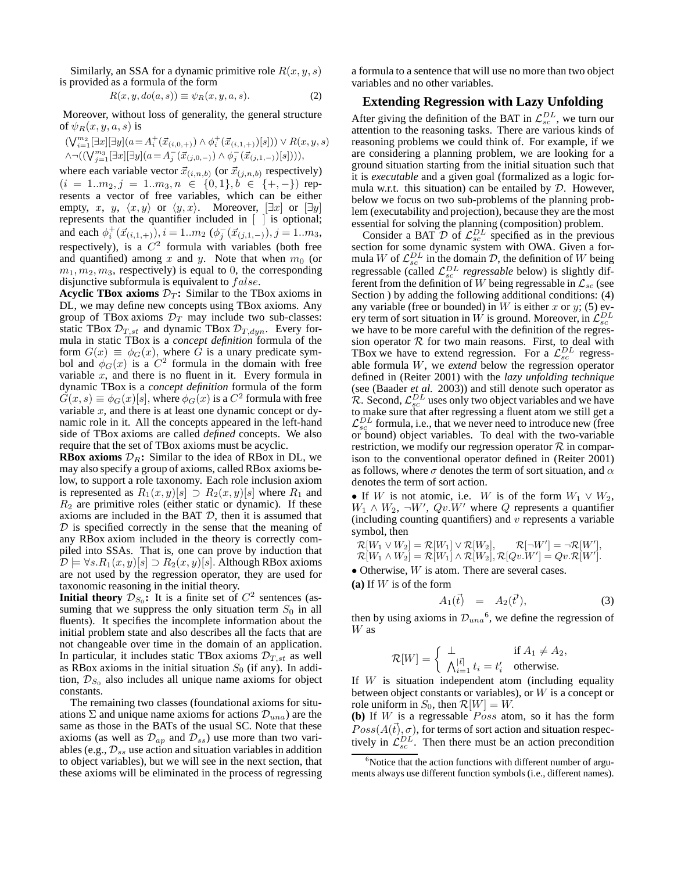Similarly, an SSA for a dynamic primitive role  $R(x, y, s)$ is provided as a formula of the form

$$
R(x, y, do(a, s)) \equiv \psi_R(x, y, a, s). \tag{2}
$$

Moreover, without loss of generality, the general structure of  $\psi_R(x, y, a, s)$  is

$$
(\bigvee_{i=1}^{m_2} [\exists x] [\exists y] (a = A_i^+ (\vec{x}_{(i,0,+)}) \wedge \phi_i^+ (\vec{x}_{(i,1,+)})[s]) ) \vee R(x,y,s)
$$
  

$$
\wedge \neg((\bigvee_{j=1}^{m_3} [\exists x] [\exists y] (a = A_j^- (\vec{x}_{(j,0,-)}) \wedge \phi_j^- (\vec{x}_{(j,1,-)})[s]))),
$$

where each variable vector  $\vec{x}_{(i,n,b)}$  (or  $\vec{x}_{(j,n,b)}$  respectively)  $(i = 1..m_2, j = 1..m_3, n \in \{0,1\}, b \in \{+, -\})$  represents a vector of free variables, which can be either empty,  $x$ ,  $y$ ,  $\langle x, y \rangle$  or  $\langle y, x \rangle$ . Moreover,  $[\exists x]$  or  $[\exists y]$ represents that the quantifier included in [ ] is optional; and each  $\phi_i^+(\vec{x}_{(i,1,+)}), i = 1..m_2$   $(\phi_j^-(\vec{x}_{(j,1,-)}), j = 1..m_3,$ respectively), is a  $C^2$  formula with variables (both free and quantified) among x and y. Note that when  $m_0$  (or  $m_1, m_2, m_3$ , respectively) is equal to 0, the corresponding disjunctive subformula is equivalent to false.

**Acyclic TBox axioms**  $\mathcal{D}_T$ : Similar to the TBox axioms in DL, we may define new concepts using TBox axioms. Any group of TBox axioms  $\mathcal{D}_T$  may include two sub-classes: static TBox  $\mathcal{D}_{T,st}$  and dynamic TBox  $\mathcal{D}_{T,dyn}$ . Every formula in static TBox is a *concept definition* formula of the form  $G(x) \equiv \phi_G(x)$ , where G is a unary predicate symbol and  $\phi_G(x)$  is a  $C^2$  formula in the domain with free variable  $x$ , and there is no fluent in it. Every formula in dynamic TBox is a *concept definition* formula of the form  $\tilde{G}(x, s) \equiv \phi_G(x)[s]$ , where  $\phi_G(x)$  is a  $C^2$  formula with free variable  $x$ , and there is at least one dynamic concept or dynamic role in it. All the concepts appeared in the left-hand side of TBox axioms are called *defined* concepts. We also require that the set of TBox axioms must be acyclic.

**RBox axioms**  $\mathcal{D}_R$ : Similar to the idea of RBox in DL, we may also specify a group of axioms, called RBox axioms below, to support a role taxonomy. Each role inclusion axiom is represented as  $R_1(x, y)[s] \supset R_2(x, y)[s]$  where  $R_1$  and  $R_2$  are primitive roles (either static or dynamic). If these axioms are included in the BAT  $D$ , then it is assumed that  $D$  is specified correctly in the sense that the meaning of any RBox axiom included in the theory is correctly compiled into SSAs. That is, one can prove by induction that  $\mathcal{D} \models \forall s.R_1(x,y)[s] \supset R_2(x,y)[s]$ . Although RBox axioms are not used by the regression operator, they are used for taxonomic reasoning in the initial theory.

**Initial theory**  $\mathcal{D}_{S_0}$ **:** It is a finite set of  $C^2$  sentences (assuming that we suppress the only situation term  $S_0$  in all fluents). It specifies the incomplete information about the initial problem state and also describes all the facts that are not changeable over time in the domain of an application. In particular, it includes static TBox axioms  $\mathcal{D}_{T,st}$  as well as RBox axioms in the initial situation  $S_0$  (if any). In addition,  $\mathcal{D}_{S_0}$  also includes all unique name axioms for object constants.

The remaining two classes (foundational axioms for situations  $\Sigma$  and unique name axioms for actions  $\mathcal{D}_{una}$  are the same as those in the BATs of the usual SC. Note that these axioms (as well as  $\mathcal{D}_{ap}$  and  $\mathcal{D}_{ss}$ ) use more than two variables (e.g.,  $\mathcal{D}_{ss}$  use action and situation variables in addition to object variables), but we will see in the next section, that these axioms will be eliminated in the process of regressing a formula to a sentence that will use no more than two object variables and no other variables.

## **Extending Regression with Lazy Unfolding**

After giving the definition of the BAT in  $\mathcal{L}_{sc}^{DL}$ , we turn our attention to the reasoning tasks. There are various kinds of reasoning problems we could think of. For example, if we are considering a planning problem, we are looking for a ground situation starting from the initial situation such that it is *executable* and a given goal (formalized as a logic formula w.r.t. this situation) can be entailed by D. However, below we focus on two sub-problems of the planning problem (executability and projection), because they are the most essential for solving the planning (composition) problem.

Consider a BAT  $\mathcal{D}$  of  $\mathcal{L}_{sc}^{DL}$  specified as in the previous section for some dynamic system with OWA. Given a formula W of  $\mathcal{L}_{sc}^{DL}$  in the domain D, the definition of W being regressable (called  $\mathcal{L}_{sc}^{DL}$  *regressable* below) is slightly different from the definition of W being regressable in  $\mathcal{L}_{sc}$  (see Section ) by adding the following additional conditions: (4) any variable (free or bounded) in W is either x or y; (5) every term of sort situation in W is ground. Moreover, in  $\mathcal{L}_{sc}^{DL}$ we have to be more careful with the definition of the regression operator  $R$  for two main reasons. First, to deal with TBox we have to extend regression. For a  $\mathcal{L}_{sc}^{DL}$  regressable formula W, we *extend* below the regression operator defined in (Reiter 2001) with the *lazy unfolding technique* (see (Baader *et al.* 2003)) and still denote such operator as  $\mathcal{R}$ . Second,  $\mathcal{L}_{sc}^{DL}$  uses only two object variables and we have to make sure that after regressing a fluent atom we still get a  $\mathcal{L}_{sc}^{DL}$  formula, i.e., that we never need to introduce new (free or bound) object variables. To deal with the two-variable restriction, we modify our regression operator  $R$  in comparison to the conventional operator defined in (Reiter 2001) as follows, where  $\sigma$  denotes the term of sort situation, and  $\alpha$ denotes the term of sort action.

• If W is not atomic, i.e. W is of the form  $W_1 \vee W_2$ ,  $W_1 \wedge W_2$ , ¬ $W'$ ,  $Qv.W'$  where  $Q$  represents a quantifier (including counting quantifiers) and  $v$  represents a variable symbol, then

 $\mathcal{R}[W_1 \vee W_2] = \mathcal{R}[W_1] \vee \mathcal{R}[W_2],$  $]=\neg \mathcal{R}[W'],$  $\mathcal{R}[W_1\wedge W_2]=\mathcal{R}[W_1]\wedge \mathcal{R}[W_2], \mathcal{R}[Qv.W']=Qv.\mathcal{R}[W'].$  $\bullet$  Otherwise,  $W$  is atom. There are several cases.

**(a)** If W is of the form

$$
A_1(\vec{t}) = A_2(\vec{t}'), \tag{3}
$$

then by using axioms in  $\mathcal{D}_{una}^6$ , we define the regression of W as

$$
\mathcal{R}[W] = \begin{cases} \perp & \text{if } A_1 \neq A_2, \\ \bigwedge_{i=1}^{\lfloor t \rfloor} t_i = t_i' & \text{otherwise.} \end{cases}
$$

If  $W$  is situation independent atom (including equality between object constants or variables), or W is a concept or role uniform in  $S_0$ , then  $\mathcal{R}[W] = W$ .

**(b)** If W is a regressable Poss atom, so it has the form  $Poss(A(\bar{t}), \sigma)$ , for terms of sort action and situation respectively in  $\mathcal{L}_{sc}^{DL}$ . Then there must be an action precondition

<sup>&</sup>lt;sup>6</sup>Notice that the action functions with different number of arguments always use different function symbols (i.e., different names).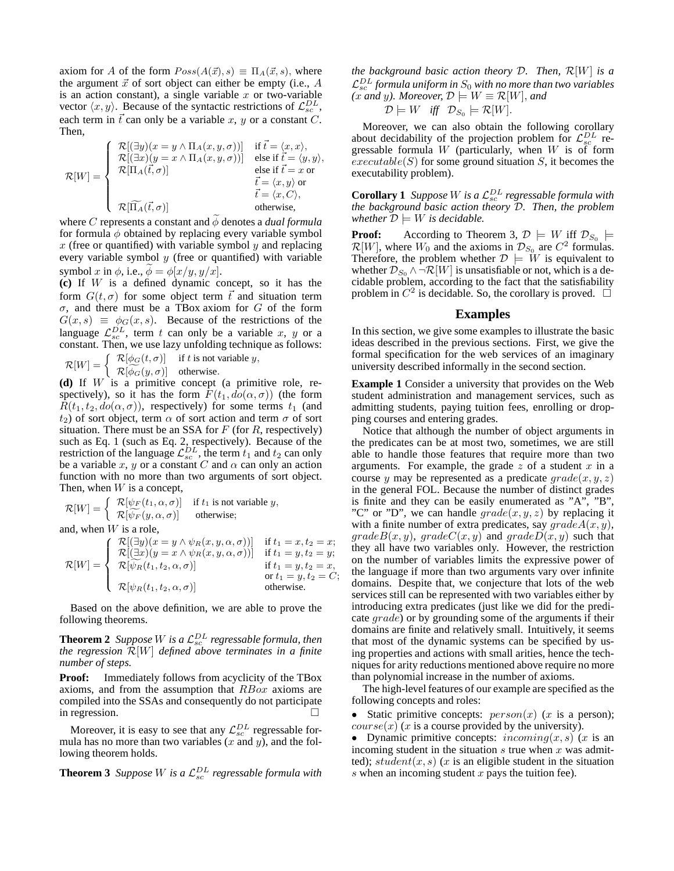axiom for A of the form  $Poss(A(\vec{x}), s) \equiv \Pi_A(\vec{x}, s)$ , where the argument  $\vec{x}$  of sort object can either be empty (i.e., A is an action constant), a single variable  $x$  or two-variable vector  $\langle x, y \rangle$ . Because of the syntactic restrictions of  $\mathcal{L}_{sc}^{DL}$ , each term in  $\vec{t}$  can only be a variable x, y or a constant C. Then,

$$
\mathcal{R}[W] = \left\{ \begin{array}{ll} \mathcal{R}[(\exists y)(x = y \land \Pi_A(x, y, \sigma))] & \text{if } \vec{t} = \langle x, x \rangle, \\ \mathcal{R}[(\exists x)(y = x \land \Pi_A(x, y, \sigma))] & \text{else if } \vec{t} = \langle y, y \rangle, \\ \mathcal{R}[\Pi_A(\vec{t}, \sigma)] & \text{else if } \vec{t} = x \text{ or } \\ & \vec{t} = \langle x, y \rangle \text{ or } \\ & \vec{t} = \langle x, C \rangle, \\ \mathcal{R}[\widetilde{\Pi_A}(\vec{t}, \sigma)] & \text{otherwise,} \end{array} \right.
$$

where  $C$  represents a constant and  $\phi$  denotes a *dual formula* for formula  $\phi$  obtained by replacing every variable symbol  $x$  (free or quantified) with variable symbol  $y$  and replacing every variable symbol  $y$  (free or quantified) with variable symbol x in  $\phi$ , i.e.,  $\widetilde{\phi} = \phi[x/y, y/x]$ .

**(c)** If W is a defined dynamic concept, so it has the form  $G(t, \sigma)$  for some object term  $\vec{t}$  and situation term σ, and there must be a TBox axiom for G of the form  $G(x, s) \equiv \phi_G(x, s)$ . Because of the restrictions of the language  $\mathcal{L}_{sc}^{DL}$ , term t can only be a variable x, y or a constant. Then, we use lazy unfolding technique as follows:

 $\mathcal{R}[W] = \begin{cases} \mathcal{R}[\phi_G(t,\sigma)] & \text{if } t \text{ is not variable } y, \\ \mathcal{R}[\widetilde{\phi}_G(t,\sigma)] & \text{otherwise.} \end{cases}$  $\mathcal{R}[\phi_G(y,\sigma)]$  otherwise.

**(d)** If W is a primitive concept (a primitive role, respectively), so it has the form  $F(t_1, do(\alpha, \sigma))$  (the form  $R(t_1, t_2, do(\alpha, \sigma))$ , respectively) for some terms  $t_1$  (and  $t_2$ ) of sort object, term  $\alpha$  of sort action and term  $\sigma$  of sort situation. There must be an SSA for  $F$  (for  $R$ , respectively) such as Eq. 1 (such as Eq. 2, respectively). Because of the restriction of the language  $\mathcal{L}_{sc}^{DL}$ , the term  $t_1$  and  $t_2$  can only be a variable  $x, y$  or a constant  $C$  and  $\alpha$  can only an action function with no more than two arguments of sort object. Then, when  $W$  is a concept,

$$
\mathcal{R}[W] = \begin{cases} \mathcal{R}[\psi_E(t_1, \alpha, \sigma)] & \text{if } t_1 \text{ is not variable } y, \\ \mathcal{R}[\widetilde{\psi}_F(y, \alpha, \sigma)] & \text{otherwise}; \end{cases}
$$

and, when  $W$  is a role,

$$
\mathcal{R}[W] = \left\{ \begin{array}{ll} \mathcal{R}[(\exists y)(x = y \land \psi_R(x, y, \alpha, \sigma))] & \text{if } t_1 = x, t_2 = x; \\ \mathcal{R}[(\exists x)(y = x \land \psi_R(x, y, \alpha, \sigma))] & \text{if } t_1 = y, t_2 = y; \\ \mathcal{R}[\psi_R(t_1, t_2, \alpha, \sigma)] & \text{if } t_1 = y, t_2 = x, \\ \mathcal{R}[\psi_R(t_1, t_2, \alpha, \sigma)] & \text{otherwise.} \end{array} \right.
$$

Based on the above definition, we are able to prove the following theorems.

**Theorem 2** Suppose W is a  $\mathcal{L}_{sc}^{DL}$  regressable formula, then *the regression* R[W] *defined above terminates in a finite number of steps.*

**Proof:** Immediately follows from acyclicity of the TBox axioms, and from the assumption that RBox axioms are compiled into the SSAs and consequently do not participate in regression.

Moreover, it is easy to see that any  $\mathcal{L}_{sc}^{DL}$  regressable formula has no more than two variables  $(x \text{ and } y)$ , and the following theorem holds.

**Theorem 3** Suppose W is a  $\mathcal{L}_{sc}^{DL}$  regressable formula with

*the background basic action theory* D*. Then,* R[W] *is a*  $\mathcal{L}_{sc}^{DL}$  formula uniform in  $S_0$  with no more than two variables *(x and y). Moreover,*  $\mathcal{D} \models W \equiv \mathcal{R}[W]$ *, and* 

$$
\mathcal{D}\models W \quad \text{iff} \quad \mathcal{D}_{S_0}\models \mathcal{R}[W].
$$

Moreover, we can also obtain the following corollary about decidability of the projection problem for  $\mathcal{L}_{sc}^{DL}$  regressable formula  $W$  (particularly, when  $W$  is of form  $execute(S)$  for some ground situation  $S$ , it becomes the executability problem).

**Corollary 1** Suppose W is a  $\mathcal{L}_{sc}^{DL}$  regressable formula with *the background basic action theory* D*. Then, the problem whether*  $\mathcal{D} \models W$  *is decidable.* 

**Proof:** According to Theorem 3,  $\mathcal{D} \models W$  iff  $\mathcal{D}_{S_0} \models$  $\mathcal{R}[W]$ , where  $W_0$  and the axioms in  $\mathcal{D}_{S_0}$  are  $C^2$  formulas. Therefore, the problem whether  $\mathcal{D} \models \tilde{W}$  is equivalent to whether  $\mathcal{D}_{S_0} \wedge \neg \mathcal{R}[W]$  is unsatisfiable or not, which is a decidable problem, according to the fact that the satisfiability problem in  $C^2$  is decidable. So, the corollary is proved.  $\Box$ 

#### **Examples**

In this section, we give some examples to illustrate the basic ideas described in the previous sections. First, we give the formal specification for the web services of an imaginary university described informally in the second section.

**Example 1** Consider a university that provides on the Web student administration and management services, such as admitting students, paying tuition fees, enrolling or dropping courses and entering grades.

Notice that although the number of object arguments in the predicates can be at most two, sometimes, we are still able to handle those features that require more than two arguments. For example, the grade  $z$  of a student  $x$  in a course y may be represented as a predicate  $grade(x, y, z)$ in the general FOL. Because the number of distinct grades is finite and they can be easily enumerated as "A", "B", "C" or "D", we can handle  $grade(x, y, z)$  by replacing it with a finite number of extra predicates, say  $grade A(x, y)$ ,  $gradeB(x, y)$ ,  $gradeC(x, y)$  and  $gradeD(x, y)$  such that they all have two variables only. However, the restriction on the number of variables limits the expressive power of the language if more than two arguments vary over infinite domains. Despite that, we conjecture that lots of the web services still can be represented with two variables either by introducing extra predicates (just like we did for the predicate grade) or by grounding some of the arguments if their domains are finite and relatively small. Intuitively, it seems that most of the dynamic systems can be specified by using properties and actions with small arities, hence the techniques for arity reductions mentioned above require no more than polynomial increase in the number of axioms.

The high-level features of our example are specified as the following concepts and roles:

• Static primitive concepts:  $person(x)$  (x is a person);  $course(x)$  (x is a course provided by the university).

Dynamic primitive concepts:  $incoming(x, s)$  (x is an incoming student in the situation  $s$  true when  $x$  was admitted);  $student(x, s)$  (x is an eligible student in the situation s when an incoming student  $x$  pays the tuition fee).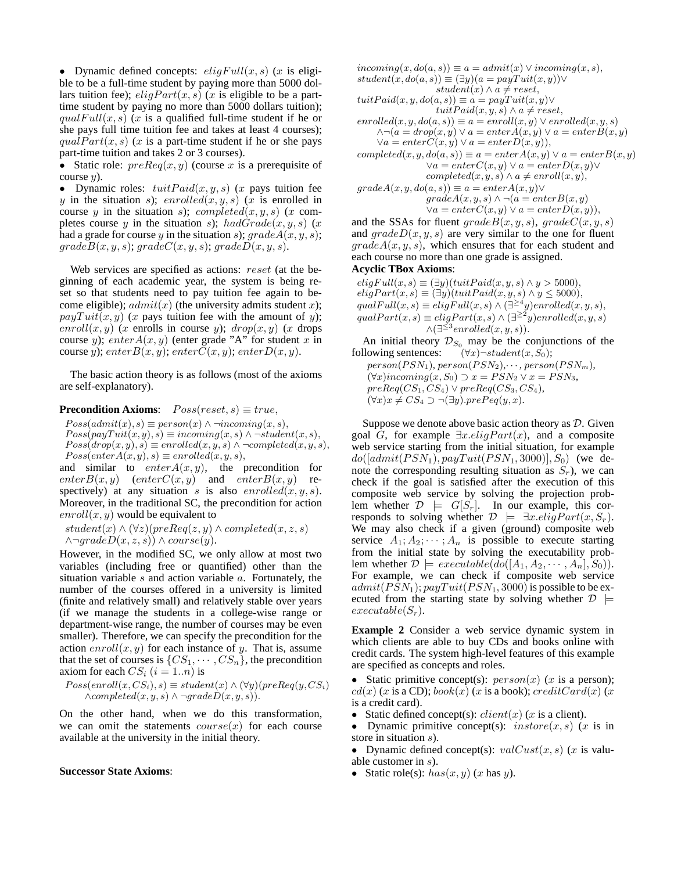• Dynamic defined concepts:  $\text{eligFull}(x, s)$  (x is eligible to be a full-time student by paying more than 5000 dollars tuition fee);  $\text{eligPart}(x, s)$  (x is eligible to be a parttime student by paying no more than 5000 dollars tuition);  $qualFull(x, s)$  (x is a qualified full-time student if he or she pays full time tuition fee and takes at least 4 courses);  $qualPart(x, s)$  (x is a part-time student if he or she pays part-time tuition and takes 2 or 3 courses).

• Static role:  $preReg(x, y)$  (course x is a prerequisite of course  $y$ ).

Dynamic roles:  $tuitPaid(x, y, s)$  (x pays tuition fee y in the situation s);  $enrolled(x, y, s)$  (x is enrolled in course y in the situation s);  $completely(x, y, s)$  (x completes course y in the situation s);  $hadGrade(x, y, s)$  (x had a grade for course y in the situation s);  $grade A(x, y, s)$ ;  $grade B(x, y, s); grade C(x, y, s); grade D(x, y, s).$ 

Web services are specified as actions: reset (at the beginning of each academic year, the system is being reset so that students need to pay tuition fee again to become eligible);  $admit(x)$  (the university admits student x);  $payTuit(x, y)$  (x pays tuition fee with the amount of y); enroll $(x, y)$  (x enrolls in course y);  $drop(x, y)$  (x drops course y);  $enterA(x, y)$  (enter grade "A" for student x in course y);  $enterB(x, y)$ ;  $enterC(x, y)$ ;  $enterD(x, y)$ .

The basic action theory is as follows (most of the axioms are self-explanatory).

## **Precondition Axioms:**  $Poss(reset, s) \equiv true,$

 $Poss(admit(x),s) \equiv person(x) \land \neg incoming(x,s),$  $Poss(payTuit(x,y),s) \equiv incoming(x,s) \land \neg student(x,s),$  $Poss(drop(x, y), s) \equiv enrolled(x, y, s) \land \neg completed(x, y, s),$  $Poss(enter A(x,y), s) \equiv enrolled(x,y,s),$ 

and similar to  $enterA(x, y)$ , the precondition for  $enterB(x, y)$  (enter $C(x, y)$  and enter $B(x, y)$  respectively) at any situation s is also  $enrolled(x, y, s)$ . Moreover, in the traditional SC, the precondition for action  $enroll(x, y)$  would be equivalent to

 $student(x) \wedge (\forall z)(preReg(z, y) \wedge completed(x, z, s))$  $\land \neg gradeD(x, z, s)$ )  $\land course(y)$ .

However, in the modified SC, we only allow at most two variables (including free or quantified) other than the situation variable s and action variable a. Fortunately, the number of the courses offered in a university is limited (finite and relatively small) and relatively stable over years (if we manage the students in a college-wise range or department-wise range, the number of courses may be even smaller). Therefore, we can specify the precondition for the action  $enroll(x, y)$  for each instance of y. That is, assume that the set of courses is  $\{CS_1, \cdots, CS_n\}$ , the precondition axiom for each  $CS_i$   $(i = 1..n)$  is

$$
Poss(enroll(x, CS_i), s) \equiv student(x) \land (\forall y)(preReg(y, CS_i) \land \neg completed(x, y, s) \land \neg gradeD(x, y, s)).
$$

On the other hand, when we do this transformation, we can omit the statements  $course(x)$  for each course available at the university in the initial theory.

#### **Successor State Axioms**:

 $incoming(x, do(a, s)) \equiv a = admit(x) \vee incoming(x, s),$  $student(x,do(a,s)) \equiv (\exists y)(a = payTuit(x,y)) \vee$  $student(x) \wedge a \neq reset,$  $tuitPaid(x, y, do(a, s)) \equiv a = payTuit(x, y) \vee$  $tuitPaid(x, y, s) \wedge a \neq reset,$  $enrolled(x, y, do(a, s)) \equiv a = enroll(x, y) \vee enrolled(x, y, s)$  $\wedge \neg (a = drop(x, y) \vee a = enter A(x, y) \vee a = enter B(x, y)$  $\forall a = enterC(x, y) \lor a = enterD(x, y)),$  $completed(x, y, do(a, s)) \equiv a = enter A(x, y) \vee a = enter B(x, y)$  $\forall a = enterC(x, y) \lor a = enterD(x, y) \lor a$  $completed(x, y, s) \land a \neq enroll(x, y),$  $grade A(x,y,do(a, s)) \equiv a = enter A(x,y) \vee$  $gradeA(x,y,s) \wedge \neg(a = enterB(x,y))$  $\forall a = enterC(x, y) \lor a = enterD(x, y)),$ and the SSAs for fluent  $grade B(x, y, s)$ ,  $grade C(x, y, s)$ and  $grade D(x, y, s)$  are very similar to the one for fluent

 $grade A(x, y, s)$ , which ensures that for each student and each course no more than one grade is assigned.

### **Acyclic TBox Axioms**:

 $eligFull(x, s) \equiv (\exists y)(tuitPaul(x, y, s) \land y > 5000),$  $eligPart(x, s) \equiv (\exists y)(tuitPaul(x, y, s) \land y \leq 5000),$  $qualFull(x, s) \equiv eligFull(x, s) \wedge (\exists^{\geq 4} y) enrolled(x, y, s),$  $qualPart(x, s) \equiv eligPart(x, s) \wedge (\exists^{\geq 2} y) en rolled(x, y, s)$  $\wedge (\exists^{\leq 3} enrolled(x, y, s)).$ 

An initial theory  $\mathcal{D}_{S_0}$  may be the conjunctions of the following sentences:  $(\forall x) \neg student(x, S_0);$ 

 $person(PSN_1), person(PSN_2), \cdots, person(PSN_m),$  $(\forall x)$ incoming $(x, S_0) \supset x = PSN_2 \vee x = PSN_3$ ,  $preReg(CS_1, CS_4) \vee preReg(CS_3, CS_4),$  $(\forall x)x \neq CS_4 \supset \neg(\exists y).prePeq(y,x).$ 

Suppose we denote above basic action theory as  $D$ . Given goal G, for example  $\exists x. \text{eligPart}(x)$ , and a composite web service starting from the initial situation, for example  $do([admit(PSN_1), payTuit(PSN_1, 3000)], S_0)$  (we denote the corresponding resulting situation as  $S_r$ ), we can check if the goal is satisfied after the execution of this composite web service by solving the projection problem whether  $\mathcal{D} \models G[S_r]$ . In our example, this corresponds to solving whether  $\mathcal{D} \models \exists x. \text{eligPart}(x, S_r)$ . We may also check if a given (ground) composite web service  $A_1; A_2; \dots; A_n$  is possible to execute starting from the initial state by solving the executability problem whether  $\mathcal{D} \models \text{execute}(do([A_1, A_2, \cdots, A_n], S_0)).$ For example, we can check if composite web service  $admit(PSN_1)$ ;  $payTuit(PSN_1, 3000)$  is possible to be executed from the starting state by solving whether  $\mathcal{D} \models$  $execute(S_r)$ .

**Example 2** Consider a web service dynamic system in which clients are able to buy CDs and books online with credit cards. The system high-level features of this example are specified as concepts and roles.

• Static primitive concept(s):  $person(x)$  (x is a person);  $cd(x)$  (x is a CD); book(x) (x is a book); creditCard(x) (x is a credit card).

• Static defined concept(s):  $client(x)$  (x is a client).

Dynamic primitive concept(s):  $instore(x, s)$  (x is in store in situation s).

• Dynamic defined concept(s):  $valCust(x, s)$  (x is valuable customer in s).

• Static role(s):  $has(x, y)$  (x has y).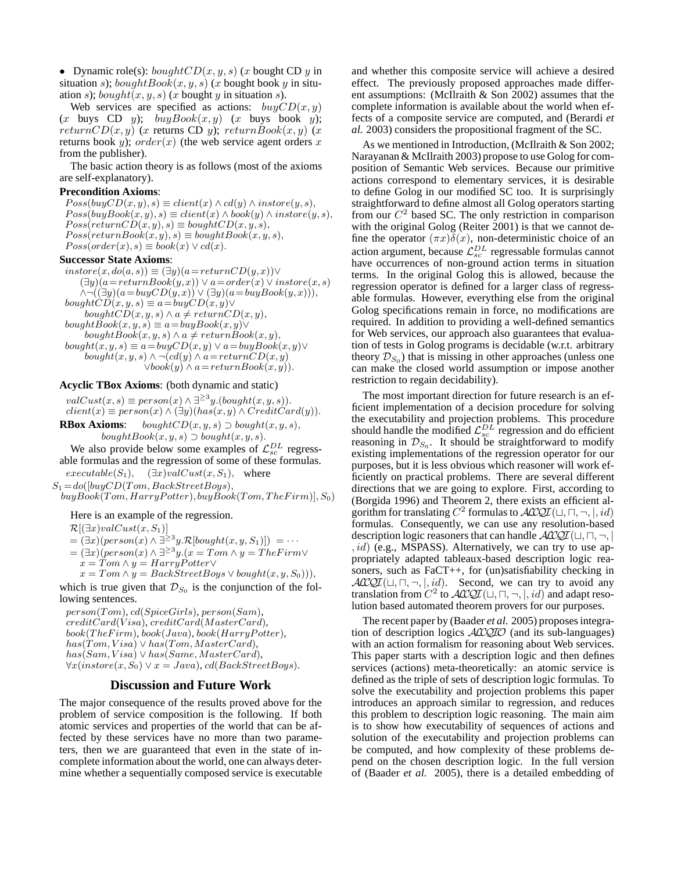• Dynamic role(s):  $boughtCD(x, y, s)$  (x bought CD y in situation s);  $boughtBook(x, y, s)$  (x bought book y in situation s);  $bought(x, y, s)$  (x bought y in situation s).

Web services are specified as actions:  $buyCD(x, y)$  $(x$  buys CD  $y)$ ;  $buyBook(x, y)$   $(x$  buys book  $y)$ ;  $returnCD(x, y)$  (x returns CD y);  $returnBook(x, y)$  (x returns book y); order(x) (the web service agent orders x from the publisher).

The basic action theory is as follows (most of the axioms are self-explanatory).

#### **Precondition Axioms**:

 $Poss(buyCD(x, y), s) \equiv client(x) \wedge cd(y) \wedge instructor(y, s),$  $Poss(buyBook(x, y), s) \equiv client(x) \wedge book(y) \wedge instructor(y, s),$  $Poss(returnCD(x,y), s) \equiv boughtCD(x,y,s),$  $Poss(returnBook(x,y), s) \equiv boughtBook(x,y,s),$  $Poss(order(x),s) \equiv book(x) \vee cd(x).$ 

#### **Successor State Axioms**:

 $instore(x,do(a,s)) \equiv (\exists y)(a=return CD(y,x)) \vee$  $(\exists y)(a = returnBook(y, x)) \vee a = order(x) \vee instructor(x, s)$  $\wedge \neg ((\exists y)(a=buyCD(y,x)) \vee (\exists y)(a=buyBook(y,x))),$  $boughtCD(x, y, s) \equiv a = buyCD(x, y) \vee$  $boughtCD(x, y, s) \land a \neq returnCD(x, y),$  $boughtBook(x, y, s) \equiv a = buyBook(x, y) \vee$  $boughtBook(x, y, s) \wedge a \neq returnBook(x, y),$  $bought(x,y,s) \equiv a = bu'yCD(x,y) \lor a = buyBook(x,y) \lor$  $bought(x, y, s) \land \neg (cd(y) \land a = return CD(x, y))$  $\vee \text{book}(y) \wedge a = returnBook(x, y)).$ 

#### **Acyclic TBox Axioms**: (both dynamic and static)

 $valCust(x, s) \equiv person(x) \land \exists^{\geq 3}y.(bought(x, y, s)).$  $client(x) \equiv person(x) \land (\exists y)(has(x, y) \land CreditCard(y)).$ 

**RBox Axioms:** bought $CD(x, y, s)$   $\supset$  bought $(x, y, s)$ ,  $boughtBook(x, y, s) \supset bought(x, y, s).$ 

We also provide below some examples of  $\mathcal{L}_{sc}^{DL}$  regressable formulas and the regression of some of these formulas.  $execute(S_1), \quad (\exists x) valCust(x, S_1), \quad \text{where}$ 

 $S_1 = do([buy CD(Tom, Back StreetBoys)),$  $buyBook(Tom, Harry Potter), buyBook(Tom,The Firm)], S<sub>0</sub>)$ 

Here is an example of the regression.

 $\mathcal{R}[(\exists x) valCust(x, S_1)]$ 

$$
= (\exists x)(person(x) \land \exists^{\geq 3}y.R[bodyht(x, y, S_1)]) = \cdots
$$

 $=(\exists x)(person(x) \land \exists^{\geq 3}y.(x = Tom \land y = TheFirm \lor$ 

 $x = Tom \wedge y = HarryPotter \vee$ 

$$
x = Tom \land y = Back StreetBoys \lor bought(x, y, S_0))),
$$

which is true given that  $\mathcal{D}_{S_0}$  is the conjunction of the following sentences.

person(Tom), cd(SpiceGirls), person(Sam),  $creditCard(Visa)$ ,  $creditCard(MasterCard)$ ,  $book(Theirm), book(Java), book(Harry Potter),$  $has(Tom,Visa) \vee has(Tom,MasterCard),$  $has(Sam,Visa) \vee has(Same,MasterCard),$  $\forall x (instore(x, S_0) \lor x = Java), cd(Back StreetBoys).$ 

## **Discussion and Future Work**

The major consequence of the results proved above for the problem of service composition is the following. If both atomic services and properties of the world that can be affected by these services have no more than two parameters, then we are guaranteed that even in the state of incomplete information about the world, one can always determine whether a sequentially composed service is executable and whether this composite service will achieve a desired effect. The previously proposed approaches made different assumptions: (McIlraith & Son 2002) assumes that the complete information is available about the world when effects of a composite service are computed, and (Berardi *et al.* 2003) considers the propositional fragment of the SC.

As we mentioned in Introduction, (McIlraith & Son 2002; Narayanan & McIlraith 2003) propose to use Golog for composition of Semantic Web services. Because our primitive actions correspond to elementary services, it is desirable to define Golog in our modified SC too. It is surprisingly straightforward to define almost all Golog operators starting from our  $C<sup>2</sup>$  based SC. The only restriction in comparison with the original Golog (Reiter 2001) is that we cannot define the operator  $(\pi x)\delta(x)$ , non-deterministic choice of an action argument, because  $\mathcal{L}_{sc}^{DL}$  regressable formulas cannot have occurrences of non-ground action terms in situation terms. In the original Golog this is allowed, because the regression operator is defined for a larger class of regressable formulas. However, everything else from the original Golog specifications remain in force, no modifications are required. In addition to providing a well-defined semantics for Web services, our approach also guarantees that evaluation of tests in Golog programs is decidable (w.r.t. arbitrary theory  $\mathcal{D}_{S_0}$ ) that is missing in other approaches (unless one can make the closed world assumption or impose another restriction to regain decidability).

The most important direction for future research is an efficient implementation of a decision procedure for solving the executability and projection problems. This procedure should handle the modified  $\mathcal{L}_{sc}^{DL}$  regression and do efficient reasoning in  $\mathcal{D}_{S_0}$ . It should be straightforward to modify existing implementations of the regression operator for our purposes, but it is less obvious which reasoner will work efficiently on practical problems. There are several different directions that we are going to explore. First, according to (Borgida 1996) and Theorem 2, there exists an efficient algorithm for translating  $C^2$  formulas to  $\mathcal{ALQI}(\sqcup, \sqcap, \neg, |, id)$ formulas. Consequently, we can use any resolution-based description logic reasoners that can handle  $\mathcal{ALQI}(\sqcup, \sqcap, \neg, \neg)$  $, id)$  (e.g., MSPASS). Alternatively, we can try to use appropriately adapted tableaux-based description logic reasoners, such as FaCT++, for (un)satisfiability checking in  $\text{AICQI}(\sqcup, \sqcap, \neg, |, id)$ . Second, we can try to avoid any translation from  $C^2$  to  $\mathcal{ALCQI}(\sqcup, \sqcap, \neg, |, id)$  and adapt resolution based automated theorem provers for our purposes.

The recent paper by (Baader *et al.* 2005) proposes integration of description logics ALCQIO (and its sub-languages) with an action formalism for reasoning about Web services. This paper starts with a description logic and then defines services (actions) meta-theoretically: an atomic service is defined as the triple of sets of description logic formulas. To solve the executability and projection problems this paper introduces an approach similar to regression, and reduces this problem to description logic reasoning. The main aim is to show how executability of sequences of actions and solution of the executability and projection problems can be computed, and how complexity of these problems depend on the chosen description logic. In the full version of (Baader *et al.* 2005), there is a detailed embedding of